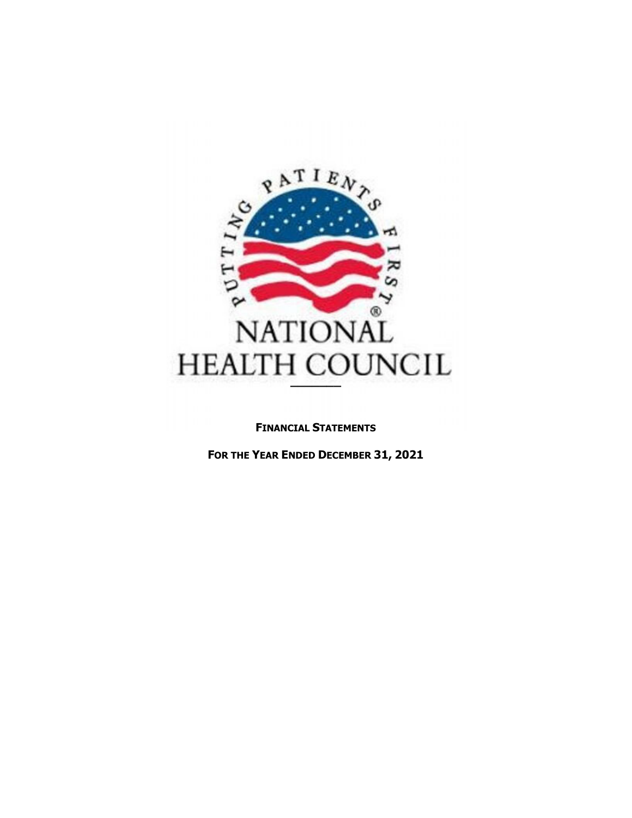

#### **FINANCIAL STATEMENTS**

**FOR THE YEAR ENDED DECEMBER 31, 2021**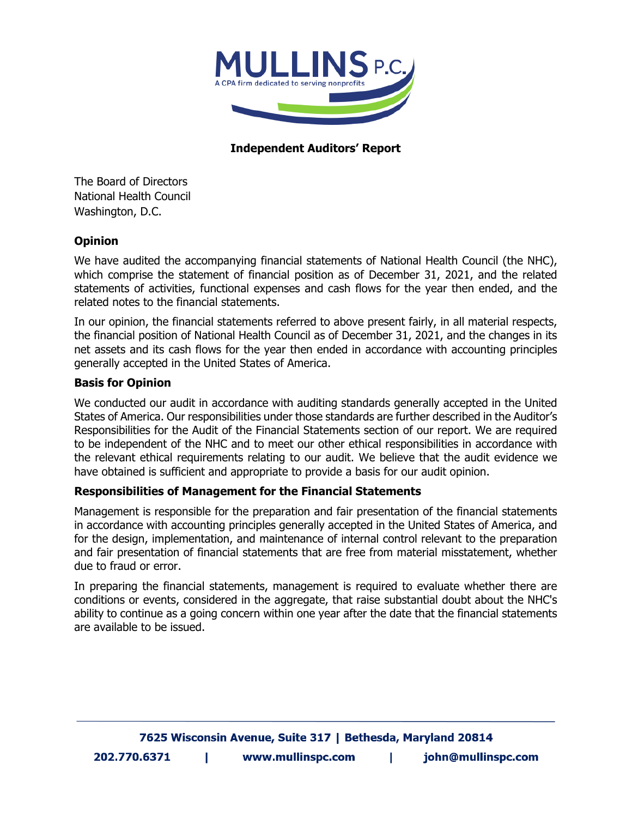

# **Independent Auditors' Report**

The Board of Directors National Health Council Washington, D.C.

# **Opinion**

We have audited the accompanying financial statements of National Health Council (the NHC), which comprise the statement of financial position as of December 31, 2021, and the related statements of activities, functional expenses and cash flows for the year then ended, and the related notes to the financial statements.

In our opinion, the financial statements referred to above present fairly, in all material respects, the financial position of National Health Council as of December 31, 2021, and the changes in its net assets and its cash flows for the year then ended in accordance with accounting principles generally accepted in the United States of America.

#### **Basis for Opinion**

We conducted our audit in accordance with auditing standards generally accepted in the United States of America. Our responsibilities under those standards are further described in the Auditor's Responsibilities for the Audit of the Financial Statements section of our report. We are required to be independent of the NHC and to meet our other ethical responsibilities in accordance with the relevant ethical requirements relating to our audit. We believe that the audit evidence we have obtained is sufficient and appropriate to provide a basis for our audit opinion.

#### **Responsibilities of Management for the Financial Statements**

Management is responsible for the preparation and fair presentation of the financial statements in accordance with accounting principles generally accepted in the United States of America, and for the design, implementation, and maintenance of internal control relevant to the preparation and fair presentation of financial statements that are free from material misstatement, whether due to fraud or error.

In preparing the financial statements, management is required to evaluate whether there are conditions or events, considered in the aggregate, that raise substantial doubt about the NHC's ability to continue as a going concern within one year after the date that the financial statements are available to be issued.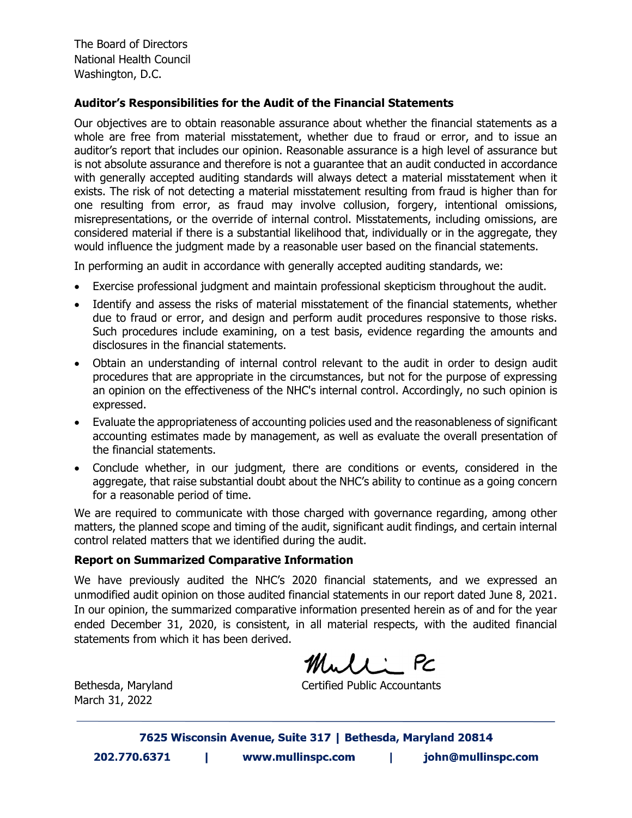The Board of Directors National Health Council Washington, D.C.

#### **Auditor's Responsibilities for the Audit of the Financial Statements**

Our objectives are to obtain reasonable assurance about whether the financial statements as a whole are free from material misstatement, whether due to fraud or error, and to issue an auditor's report that includes our opinion. Reasonable assurance is a high level of assurance but is not absolute assurance and therefore is not a guarantee that an audit conducted in accordance with generally accepted auditing standards will always detect a material misstatement when it exists. The risk of not detecting a material misstatement resulting from fraud is higher than for one resulting from error, as fraud may involve collusion, forgery, intentional omissions, misrepresentations, or the override of internal control. Misstatements, including omissions, are considered material if there is a substantial likelihood that, individually or in the aggregate, they would influence the judgment made by a reasonable user based on the financial statements.

In performing an audit in accordance with generally accepted auditing standards, we:

- Exercise professional judgment and maintain professional skepticism throughout the audit.
- Identify and assess the risks of material misstatement of the financial statements, whether due to fraud or error, and design and perform audit procedures responsive to those risks. Such procedures include examining, on a test basis, evidence regarding the amounts and disclosures in the financial statements.
- Obtain an understanding of internal control relevant to the audit in order to design audit procedures that are appropriate in the circumstances, but not for the purpose of expressing an opinion on the effectiveness of the NHC's internal control. Accordingly, no such opinion is expressed.
- Evaluate the appropriateness of accounting policies used and the reasonableness of significant accounting estimates made by management, as well as evaluate the overall presentation of the financial statements.
- Conclude whether, in our judgment, there are conditions or events, considered in the aggregate, that raise substantial doubt about the NHC's ability to continue as a going concern for a reasonable period of time.

We are required to communicate with those charged with governance regarding, among other matters, the planned scope and timing of the audit, significant audit findings, and certain internal control related matters that we identified during the audit.

#### **Report on Summarized Comparative Information**

We have previously audited the NHC's 2020 financial statements, and we expressed an unmodified audit opinion on those audited financial statements in our report dated June 8, 2021. In our opinion, the summarized comparative information presented herein as of and for the year ended December 31, 2020, is consistent, in all material respects, with the audited financial statements from which it has been derived.

Mull: PC

March 31, 2022

Bethesda, Maryland **Certified Public Accountants**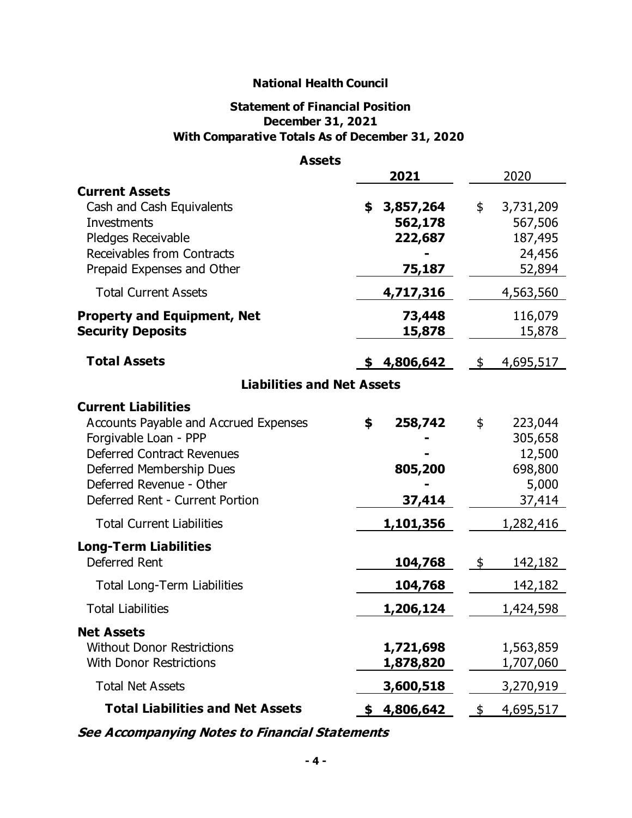# **Statement of Financial Position December 31, 2021 With Comparative Totals As of December 31, 2020**

| <b>Assets</b>                                                                                                                                                                                                                |                                                 |            |                                                            |
|------------------------------------------------------------------------------------------------------------------------------------------------------------------------------------------------------------------------------|-------------------------------------------------|------------|------------------------------------------------------------|
|                                                                                                                                                                                                                              | 2021                                            |            | 2020                                                       |
| <b>Current Assets</b><br>Cash and Cash Equivalents<br>Investments<br>Pledges Receivable<br>Receivables from Contracts<br>Prepaid Expenses and Other                                                                          | 3,857,264<br>\$<br>562,178<br>222,687<br>75,187 | \$         | 3,731,209<br>567,506<br>187,495<br>24,456<br>52,894        |
| <b>Total Current Assets</b>                                                                                                                                                                                                  | 4,717,316                                       |            | 4,563,560                                                  |
| <b>Property and Equipment, Net</b><br><b>Security Deposits</b>                                                                                                                                                               | 73,448<br>15,878                                |            | 116,079<br>15,878                                          |
| <b>Total Assets</b>                                                                                                                                                                                                          | 4,806,642<br>S.                                 | \$         | 4,695,517                                                  |
| <b>Liabilities and Net Assets</b>                                                                                                                                                                                            |                                                 |            |                                                            |
| <b>Current Liabilities</b><br>Accounts Payable and Accrued Expenses<br>Forgivable Loan - PPP<br><b>Deferred Contract Revenues</b><br>Deferred Membership Dues<br>Deferred Revenue - Other<br>Deferred Rent - Current Portion | \$<br>258,742<br>805,200<br>37,414              | \$         | 223,044<br>305,658<br>12,500<br>698,800<br>5,000<br>37,414 |
| <b>Total Current Liabilities</b>                                                                                                                                                                                             | 1,101,356                                       |            | 1,282,416                                                  |
| <b>Long-Term Liabilities</b><br>Deferred Rent<br>Total Long-Term Liabilities                                                                                                                                                 | 104,768<br>104,768                              | $\sqrt{5}$ | 142,182<br>142,182                                         |
| <b>Total Liabilities</b>                                                                                                                                                                                                     | 1,206,124                                       |            | 1,424,598                                                  |
| <b>Net Assets</b><br><b>Without Donor Restrictions</b><br><b>With Donor Restrictions</b>                                                                                                                                     | 1,721,698<br>1,878,820                          |            | 1,563,859<br>1,707,060                                     |
| <b>Total Net Assets</b>                                                                                                                                                                                                      | 3,600,518                                       |            | 3,270,919                                                  |
| <b>Total Liabilities and Net Assets</b>                                                                                                                                                                                      | \$4,806,642                                     | \$         | 4,695,517                                                  |

**See Accompanying Notes to Financial Statements**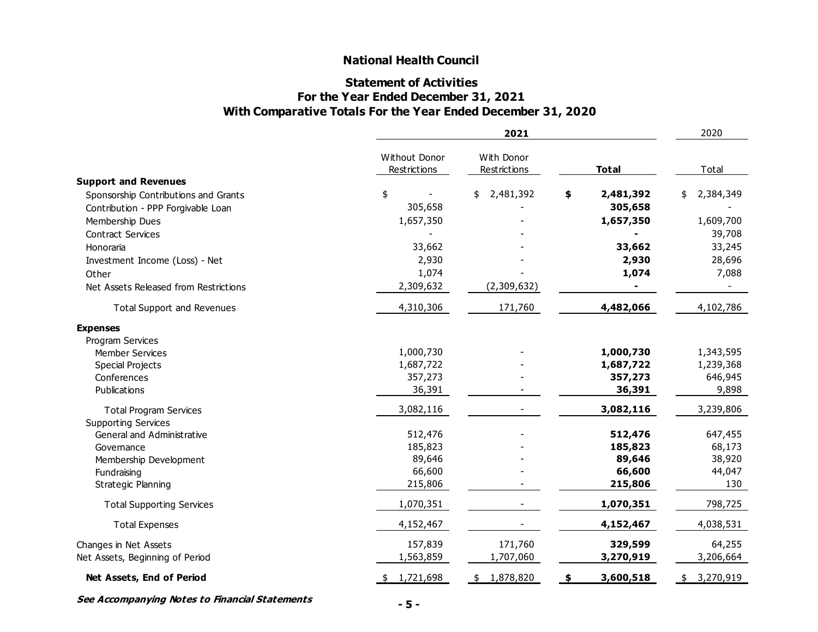#### **Statement of Activities For the Year Ended December 31, 2021 With Comparative Totals For the Year Ended December 31, 2020**

|                                       |                               | 2021                       |                 |                 |  |  |  |
|---------------------------------------|-------------------------------|----------------------------|-----------------|-----------------|--|--|--|
|                                       | Without Donor<br>Restrictions | With Donor<br>Restrictions | <b>Total</b>    | Total           |  |  |  |
| <b>Support and Revenues</b>           |                               |                            |                 |                 |  |  |  |
| Sponsorship Contributions and Grants  | \$                            | 2,481,392<br>\$            | 2,481,392<br>\$ | 2,384,349<br>\$ |  |  |  |
| Contribution - PPP Forgivable Loan    | 305,658                       |                            | 305,658         |                 |  |  |  |
| Membership Dues                       | 1,657,350                     |                            | 1,657,350       | 1,609,700       |  |  |  |
| <b>Contract Services</b>              |                               |                            |                 | 39,708          |  |  |  |
| Honoraria                             | 33,662                        |                            | 33,662          | 33,245          |  |  |  |
| Investment Income (Loss) - Net        | 2,930                         |                            | 2,930           | 28,696          |  |  |  |
| Other                                 | 1,074                         |                            | 1,074           | 7,088           |  |  |  |
| Net Assets Released from Restrictions | 2,309,632                     | (2,309,632)                |                 |                 |  |  |  |
| <b>Total Support and Revenues</b>     | 4,310,306                     | 171,760                    | 4,482,066       | 4,102,786       |  |  |  |
| <b>Expenses</b>                       |                               |                            |                 |                 |  |  |  |
| Program Services                      |                               |                            |                 |                 |  |  |  |
| <b>Member Services</b>                | 1,000,730                     |                            | 1,000,730       | 1,343,595       |  |  |  |
| <b>Special Projects</b>               | 1,687,722                     |                            | 1,687,722       | 1,239,368       |  |  |  |
| Conferences                           | 357,273                       |                            | 357,273         | 646,945         |  |  |  |
| Publications                          | 36,391                        |                            | 36,391          | 9,898           |  |  |  |
| <b>Total Program Services</b>         | 3,082,116                     |                            | 3,082,116       | 3,239,806       |  |  |  |
| <b>Supporting Services</b>            |                               |                            |                 |                 |  |  |  |
| General and Administrative            | 512,476                       |                            | 512,476         | 647,455         |  |  |  |
| Governance                            | 185,823                       |                            | 185,823         | 68,173          |  |  |  |
| Membership Development                | 89,646                        |                            | 89,646          | 38,920          |  |  |  |
| Fundraising                           | 66,600                        |                            | 66,600          | 44,047          |  |  |  |
| Strategic Planning                    | 215,806                       |                            | 215,806         | 130             |  |  |  |
| <b>Total Supporting Services</b>      | 1,070,351                     |                            | 1,070,351       | 798,725         |  |  |  |
| <b>Total Expenses</b>                 | 4,152,467                     |                            | 4,152,467       | 4,038,531       |  |  |  |
| Changes in Net Assets                 | 157,839                       | 171,760                    | 329,599         | 64,255          |  |  |  |
| Net Assets, Beginning of Period       | 1,563,859                     | 1,707,060                  | 3,270,919       | 3,206,664       |  |  |  |
| Net Assets, End of Period             | \$1,721,698                   | \$1,878,820                | 3,600,518<br>\$ | \$3,270,919     |  |  |  |

**See Accompanying Notes to Financial Statements**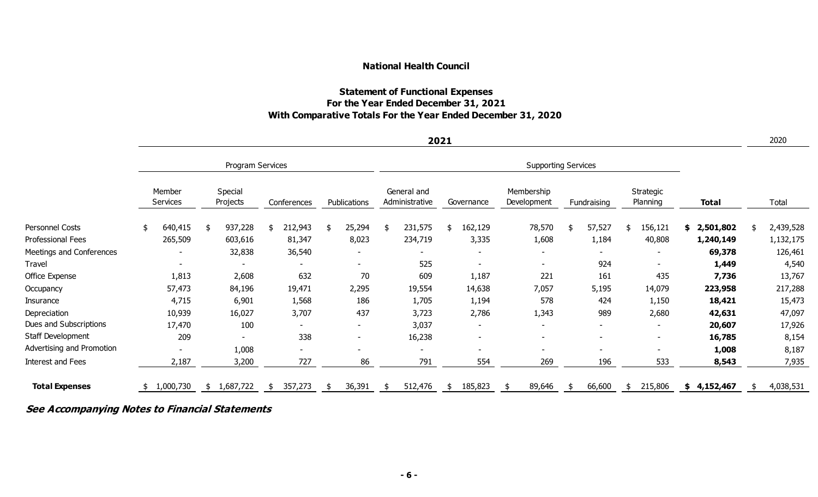# **Statement of Functional Expenses For the Year Ended December 31, 2021 With Comparative Totals For the Year Ended December 31, 2020**

|                           |                    |    |                     |    |             |              |                            |                               | 2021 |            |  |                           |  |             |                          |                 | 2020      |
|---------------------------|--------------------|----|---------------------|----|-------------|--------------|----------------------------|-------------------------------|------|------------|--|---------------------------|--|-------------|--------------------------|-----------------|-----------|
|                           |                    |    | Program Services    |    |             |              | <b>Supporting Services</b> |                               |      |            |  |                           |  |             |                          |                 |           |
|                           | Member<br>Services |    | Special<br>Projects |    | Conferences | Publications |                            | General and<br>Administrative |      | Governance |  | Membership<br>Development |  | Fundraising | Strategic<br>Planning    | <b>Total</b>    | Total     |
| Personnel Costs           | \$<br>640,415      | \$ | 937,228             | \$ | 212,943     | 25,294       |                            | 231,575                       |      | 162,129    |  | 78,570                    |  | 57,527      | \$<br>156,121            | 2,501,802<br>\$ | 2,439,528 |
| Professional Fees         | 265,509            |    | 603,616             |    | 81,347      | 8,023        |                            | 234,719                       |      | 3,335      |  | 1,608                     |  | 1,184       | 40,808                   | 1,240,149       | 1,132,175 |
| Meetings and Conferences  |                    |    | 32,838              |    | 36,540      |              |                            |                               |      |            |  |                           |  |             |                          | 69,378          | 126,461   |
| Travel                    |                    |    |                     |    |             |              |                            | 525                           |      |            |  | $\blacksquare$            |  | 924         | $\sim$                   | 1,449           | 4,540     |
| Office Expense            | 1,813              |    | 2,608               |    | 632         | 70           |                            | 609                           |      | 1,187      |  | 221                       |  | 161         | 435                      | 7,736           | 13,767    |
| Occupancy                 | 57,473             |    | 84,196              |    | 19,471      | 2,295        |                            | 19,554                        |      | 14,638     |  | 7,057                     |  | 5,195       | 14,079                   | 223,958         | 217,288   |
| Insurance                 | 4,715              |    | 6,901               |    | 1,568       | 186          |                            | 1,705                         |      | 1,194      |  | 578                       |  | 424         | 1,150                    | 18,421          | 15,473    |
| Depreciation              | 10,939             |    | 16,027              |    | 3,707       | 437          |                            | 3,723                         |      | 2,786      |  | 1,343                     |  | 989         | 2,680                    | 42,631          | 47,097    |
| Dues and Subscriptions    | 17,470             |    | 100                 |    |             |              |                            | 3,037                         |      |            |  |                           |  |             | $\overline{\phantom{0}}$ | 20,607          | 17,926    |
| Staff Development         | 209                |    |                     |    | 338         |              |                            | 16,238                        |      |            |  | $\overline{\phantom{a}}$  |  |             | $\sim$                   | 16,785          | 8,154     |
| Advertising and Promotion |                    |    | 1,008               |    | -           |              |                            |                               |      |            |  |                           |  |             |                          | 1,008           | 8,187     |
| Interest and Fees         | 2,187              |    | 3,200               |    | 727         | 86           |                            | 791                           |      | 554        |  | 269                       |  | 196         | 533                      | 8,543           | 7,935     |
| <b>Total Expenses</b>     | \$1,000,730        | S. | 1,687,722           | S. | 357,273     | 36,391       |                            | 512,476                       |      | 185,823    |  | 89,646                    |  | 66,600      | \$<br>215,806            | \$4,152,467     | 4,038,531 |

# **See Accompanying Notes to Financial Statements**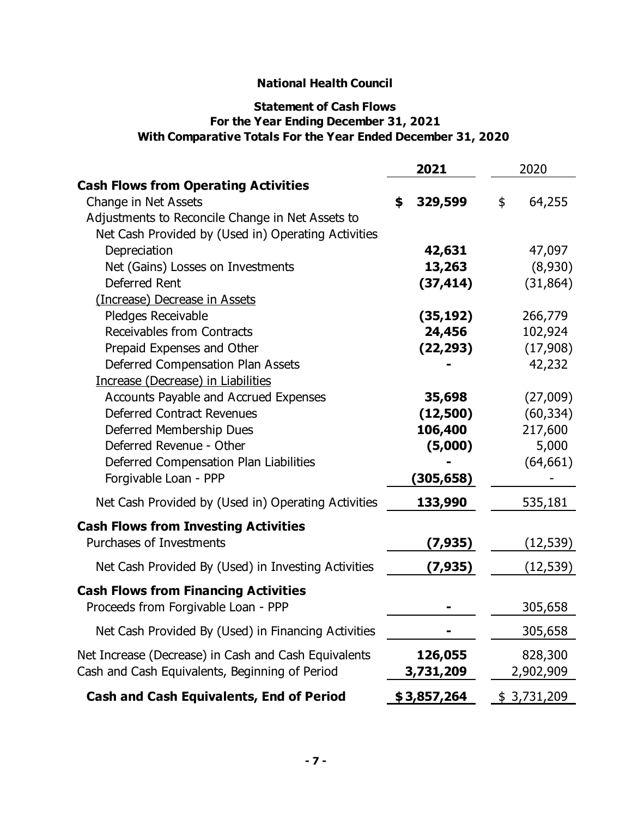# **With Comparative Totals For the Year Ended December 31, 2020 For the Year Ending December 31, 2021 Statement of Cash Flows**

|                                                      | 2021          | 2020         |  |
|------------------------------------------------------|---------------|--------------|--|
| <b>Cash Flows from Operating Activities</b>          |               |              |  |
| Change in Net Assets                                 | \$<br>329,599 | \$<br>64,255 |  |
| Adjustments to Reconcile Change in Net Assets to     |               |              |  |
| Net Cash Provided by (Used in) Operating Activities  |               |              |  |
| Depreciation                                         | 42,631        | 47,097       |  |
| Net (Gains) Losses on Investments                    | 13,263        | (8,930)      |  |
| Deferred Rent                                        | (37, 414)     | (31, 864)    |  |
| (Increase) Decrease in Assets                        |               |              |  |
| Pledges Receivable                                   | (35, 192)     | 266,779      |  |
| Receivables from Contracts                           | 24,456        | 102,924      |  |
| Prepaid Expenses and Other                           | (22, 293)     | (17,908)     |  |
| Deferred Compensation Plan Assets                    |               | 42,232       |  |
| Increase (Decrease) in Liabilities                   |               |              |  |
| Accounts Payable and Accrued Expenses                | 35,698        | (27,009)     |  |
| <b>Deferred Contract Revenues</b>                    | (12,500)      | (60, 334)    |  |
| Deferred Membership Dues                             | 106,400       | 217,600      |  |
| Deferred Revenue - Other                             | (5,000)       | 5,000        |  |
| Deferred Compensation Plan Liabilities               |               | (64, 661)    |  |
| Forgivable Loan - PPP                                | (305,658)     |              |  |
| Net Cash Provided by (Used in) Operating Activities  | 133,990       | 535,181      |  |
| <b>Cash Flows from Investing Activities</b>          |               |              |  |
| <b>Purchases of Investments</b>                      | (7,935)       | (12, 539)    |  |
| Net Cash Provided By (Used) in Investing Activities  | (7, 935)      | (12, 539)    |  |
| <b>Cash Flows from Financing Activities</b>          |               |              |  |
| Proceeds from Forgivable Loan - PPP                  |               | 305,658      |  |
| Net Cash Provided By (Used) in Financing Activities  |               | 305,658      |  |
| Net Increase (Decrease) in Cash and Cash Equivalents | 126,055       | 828,300      |  |
| Cash and Cash Equivalents, Beginning of Period       | 3,731,209     | 2,902,909    |  |
| <b>Cash and Cash Equivalents, End of Period</b>      | \$3,857,264   | \$3,731,209  |  |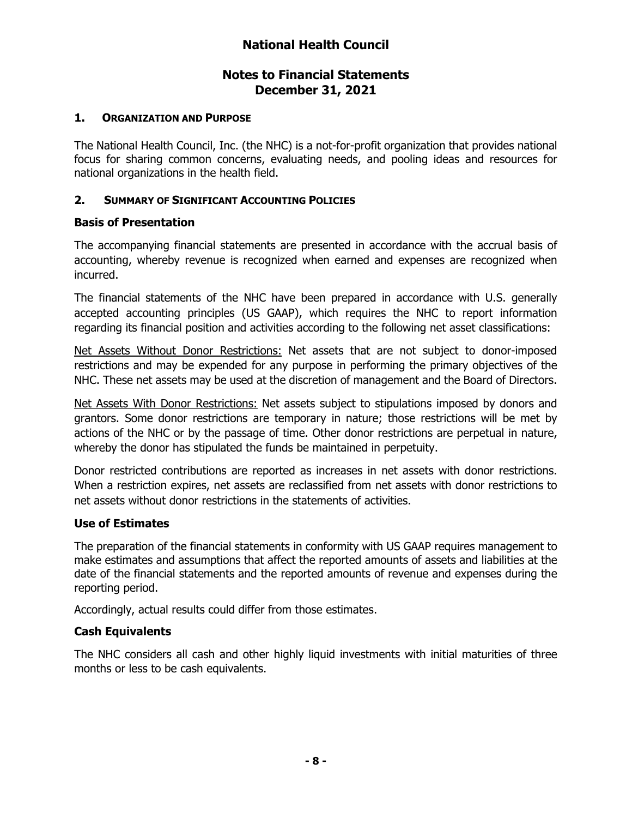#### **1. ORGANIZATION AND PURPOSE**

The National Health Council, Inc. (the NHC) is a not-for-profit organization that provides national focus for sharing common concerns, evaluating needs, and pooling ideas and resources for national organizations in the health field.

#### **2. SUMMARY OF SIGNIFICANT ACCOUNTING POLICIES**

#### **Basis of Presentation**

The accompanying financial statements are presented in accordance with the accrual basis of accounting, whereby revenue is recognized when earned and expenses are recognized when incurred.

The financial statements of the NHC have been prepared in accordance with U.S. generally accepted accounting principles (US GAAP), which requires the NHC to report information regarding its financial position and activities according to the following net asset classifications:

Net Assets Without Donor Restrictions: Net assets that are not subject to donor-imposed restrictions and may be expended for any purpose in performing the primary objectives of the NHC. These net assets may be used at the discretion of management and the Board of Directors.

Net Assets With Donor Restrictions: Net assets subject to stipulations imposed by donors and grantors. Some donor restrictions are temporary in nature; those restrictions will be met by actions of the NHC or by the passage of time. Other donor restrictions are perpetual in nature, whereby the donor has stipulated the funds be maintained in perpetuity.

Donor restricted contributions are reported as increases in net assets with donor restrictions. When a restriction expires, net assets are reclassified from net assets with donor restrictions to net assets without donor restrictions in the statements of activities.

#### **Use of Estimates**

The preparation of the financial statements in conformity with US GAAP requires management to make estimates and assumptions that affect the reported amounts of assets and liabilities at the date of the financial statements and the reported amounts of revenue and expenses during the reporting period.

Accordingly, actual results could differ from those estimates.

#### **Cash Equivalents**

The NHC considers all cash and other highly liquid investments with initial maturities of three months or less to be cash equivalents.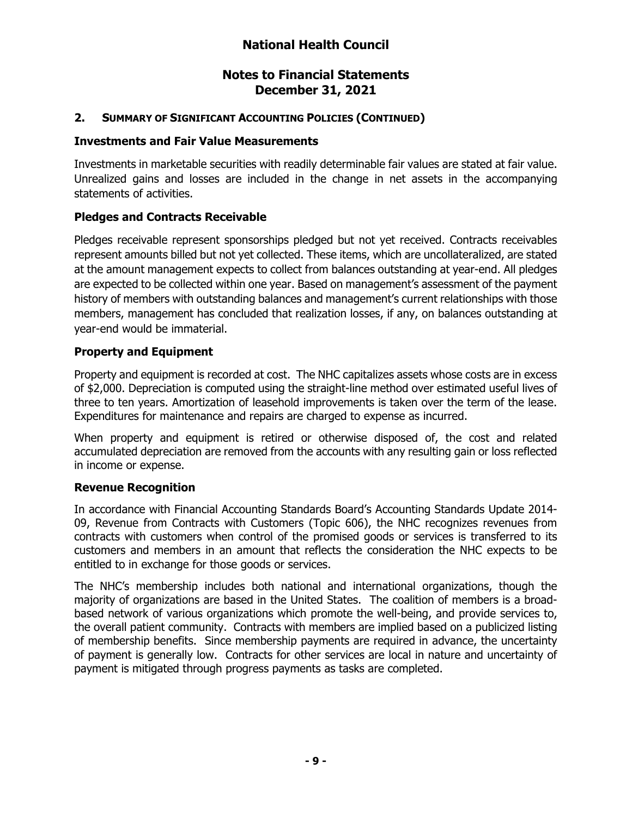# **2. SUMMARY OF SIGNIFICANT ACCOUNTING POLICIES (CONTINUED)**

#### **Investments and Fair Value Measurements**

Investments in marketable securities with readily determinable fair values are stated at fair value. Unrealized gains and losses are included in the change in net assets in the accompanying statements of activities.

# **Pledges and Contracts Receivable**

Pledges receivable represent sponsorships pledged but not yet received. Contracts receivables represent amounts billed but not yet collected. These items, which are uncollateralized, are stated at the amount management expects to collect from balances outstanding at year-end. All pledges are expected to be collected within one year. Based on management's assessment of the payment history of members with outstanding balances and management's current relationships with those members, management has concluded that realization losses, if any, on balances outstanding at year-end would be immaterial.

#### **Property and Equipment**

Property and equipment is recorded at cost. The NHC capitalizes assets whose costs are in excess of \$2,000. Depreciation is computed using the straight-line method over estimated useful lives of three to ten years. Amortization of leasehold improvements is taken over the term of the lease. Expenditures for maintenance and repairs are charged to expense as incurred.

When property and equipment is retired or otherwise disposed of, the cost and related accumulated depreciation are removed from the accounts with any resulting gain or loss reflected in income or expense.

#### **Revenue Recognition**

In accordance with Financial Accounting Standards Board's Accounting Standards Update 2014- 09, Revenue from Contracts with Customers (Topic 606), the NHC recognizes revenues from contracts with customers when control of the promised goods or services is transferred to its customers and members in an amount that reflects the consideration the NHC expects to be entitled to in exchange for those goods or services.

The NHC's membership includes both national and international organizations, though the majority of organizations are based in the United States. The coalition of members is a broadbased network of various organizations which promote the well-being, and provide services to, the overall patient community. Contracts with members are implied based on a publicized listing of membership benefits. Since membership payments are required in advance, the uncertainty of payment is generally low. Contracts for other services are local in nature and uncertainty of payment is mitigated through progress payments as tasks are completed.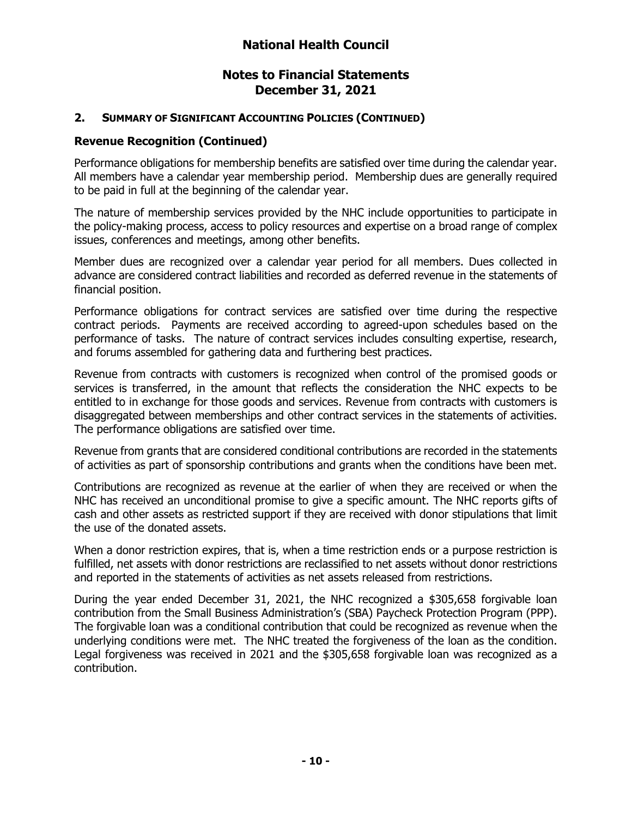#### **2. SUMMARY OF SIGNIFICANT ACCOUNTING POLICIES (CONTINUED)**

#### **Revenue Recognition (Continued)**

Performance obligations for membership benefits are satisfied over time during the calendar year. All members have a calendar year membership period. Membership dues are generally required to be paid in full at the beginning of the calendar year.

The nature of membership services provided by the NHC include opportunities to participate in the policy-making process, access to policy resources and expertise on a broad range of complex issues, conferences and meetings, among other benefits.

Member dues are recognized over a calendar year period for all members. Dues collected in advance are considered contract liabilities and recorded as deferred revenue in the statements of financial position.

Performance obligations for contract services are satisfied over time during the respective contract periods. Payments are received according to agreed-upon schedules based on the performance of tasks. The nature of contract services includes consulting expertise, research, and forums assembled for gathering data and furthering best practices.

Revenue from contracts with customers is recognized when control of the promised goods or services is transferred, in the amount that reflects the consideration the NHC expects to be entitled to in exchange for those goods and services. Revenue from contracts with customers is disaggregated between memberships and other contract services in the statements of activities. The performance obligations are satisfied over time.

Revenue from grants that are considered conditional contributions are recorded in the statements of activities as part of sponsorship contributions and grants when the conditions have been met.

Contributions are recognized as revenue at the earlier of when they are received or when the NHC has received an unconditional promise to give a specific amount. The NHC reports gifts of cash and other assets as restricted support if they are received with donor stipulations that limit the use of the donated assets.

When a donor restriction expires, that is, when a time restriction ends or a purpose restriction is fulfilled, net assets with donor restrictions are reclassified to net assets without donor restrictions and reported in the statements of activities as net assets released from restrictions.

During the year ended December 31, 2021, the NHC recognized a \$305,658 forgivable loan contribution from the Small Business Administration's (SBA) Paycheck Protection Program (PPP). The forgivable loan was a conditional contribution that could be recognized as revenue when the underlying conditions were met. The NHC treated the forgiveness of the loan as the condition. Legal forgiveness was received in 2021 and the \$305,658 forgivable loan was recognized as a contribution.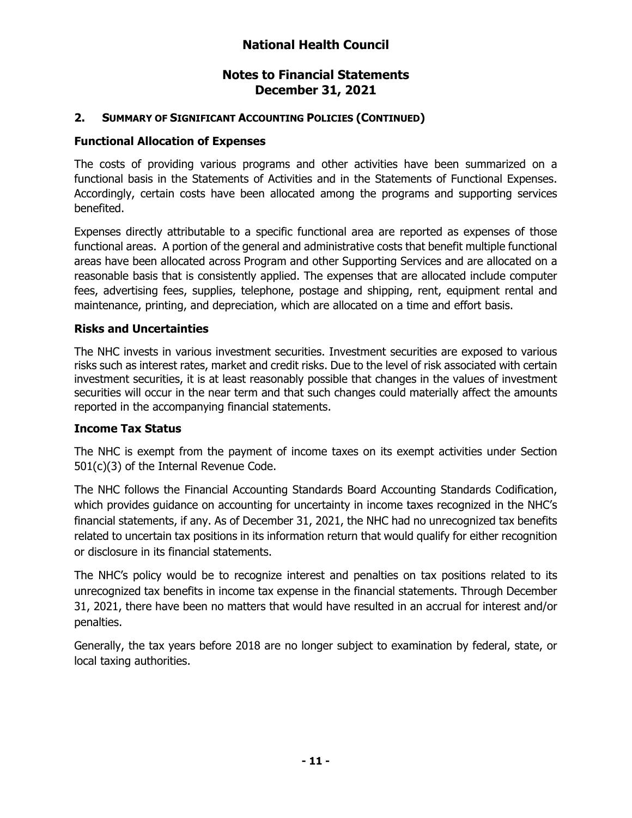# **2. SUMMARY OF SIGNIFICANT ACCOUNTING POLICIES (CONTINUED)**

## **Functional Allocation of Expenses**

The costs of providing various programs and other activities have been summarized on a functional basis in the Statements of Activities and in the Statements of Functional Expenses. Accordingly, certain costs have been allocated among the programs and supporting services benefited.

Expenses directly attributable to a specific functional area are reported as expenses of those functional areas. A portion of the general and administrative costs that benefit multiple functional areas have been allocated across Program and other Supporting Services and are allocated on a reasonable basis that is consistently applied. The expenses that are allocated include computer fees, advertising fees, supplies, telephone, postage and shipping, rent, equipment rental and maintenance, printing, and depreciation, which are allocated on a time and effort basis.

#### **Risks and Uncertainties**

The NHC invests in various investment securities. Investment securities are exposed to various risks such as interest rates, market and credit risks. Due to the level of risk associated with certain investment securities, it is at least reasonably possible that changes in the values of investment securities will occur in the near term and that such changes could materially affect the amounts reported in the accompanying financial statements.

# **Income Tax Status**

The NHC is exempt from the payment of income taxes on its exempt activities under Section 501(c)(3) of the Internal Revenue Code.

The NHC follows the Financial Accounting Standards Board Accounting Standards Codification, which provides guidance on accounting for uncertainty in income taxes recognized in the NHC's financial statements, if any. As of December 31, 2021, the NHC had no unrecognized tax benefits related to uncertain tax positions in its information return that would qualify for either recognition or disclosure in its financial statements.

The NHC's policy would be to recognize interest and penalties on tax positions related to its unrecognized tax benefits in income tax expense in the financial statements. Through December 31, 2021, there have been no matters that would have resulted in an accrual for interest and/or penalties.

Generally, the tax years before 2018 are no longer subject to examination by federal, state, or local taxing authorities.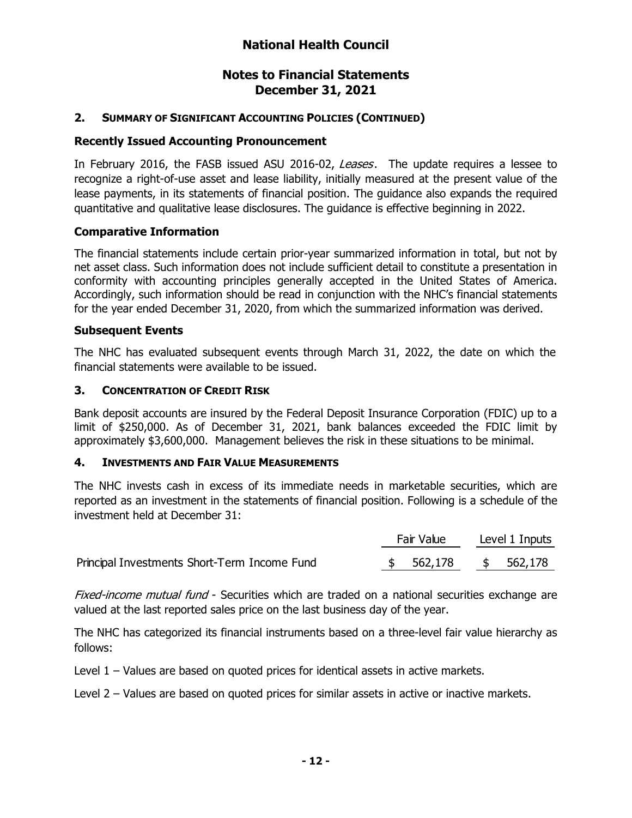# **2. SUMMARY OF SIGNIFICANT ACCOUNTING POLICIES (CONTINUED)**

## **Recently Issued Accounting Pronouncement**

In February 2016, the FASB issued ASU 2016-02, Leases. The update requires a lessee to recognize a right-of-use asset and lease liability, initially measured at the present value of the lease payments, in its statements of financial position. The guidance also expands the required quantitative and qualitative lease disclosures. The guidance is effective beginning in 2022.

#### **Comparative Information**

The financial statements include certain prior-year summarized information in total, but not by net asset class. Such information does not include sufficient detail to constitute a presentation in conformity with accounting principles generally accepted in the United States of America. Accordingly, such information should be read in conjunction with the NHC's financial statements for the year ended December 31, 2020, from which the summarized information was derived.

#### **Subsequent Events**

The NHC has evaluated subsequent events through March 31, 2022, the date on which the financial statements were available to be issued.

#### **3. CONCENTRATION OF CREDIT RISK**

Bank deposit accounts are insured by the Federal Deposit Insurance Corporation (FDIC) up to a limit of \$250,000. As of December 31, 2021, bank balances exceeded the FDIC limit by approximately \$3,600,000. Management believes the risk in these situations to be minimal.

#### **4. INVESTMENTS AND FAIR VALUE MEASUREMENTS**

The NHC invests cash in excess of its immediate needs in marketable securities, which are reported as an investment in the statements of financial position. Following is a schedule of the investment held at December 31:

|                                              | Fair Value |           |  | Level 1 Inputs |  |  |  |  |
|----------------------------------------------|------------|-----------|--|----------------|--|--|--|--|
| Principal Investments Short-Term Income Fund |            | \$562,178 |  | \$ 562,178     |  |  |  |  |

Fixed-income mutual fund - Securities which are traded on a national securities exchange are valued at the last reported sales price on the last business day of the year.

The NHC has categorized its financial instruments based on a three-level fair value hierarchy as follows:

Level 1 – Values are based on quoted prices for identical assets in active markets.

Level 2 – Values are based on quoted prices for similar assets in active or inactive markets.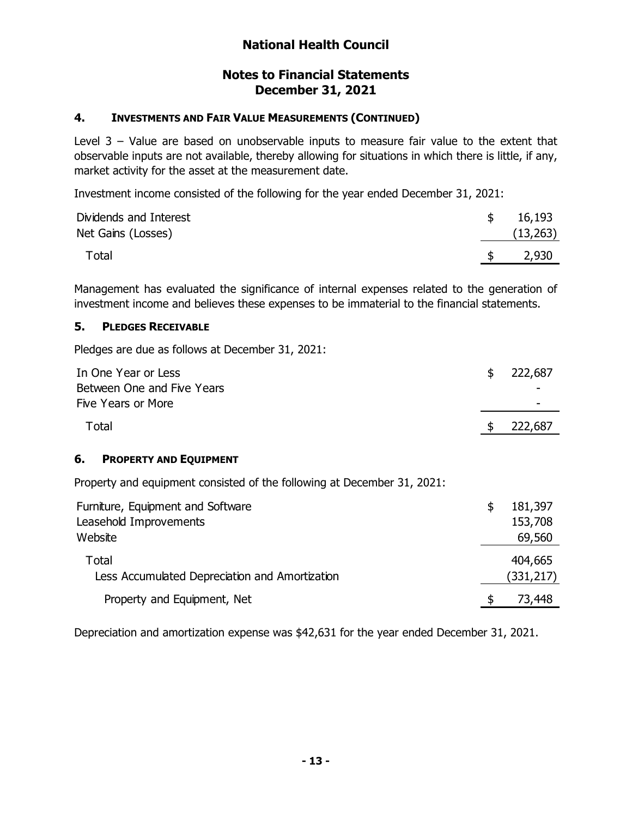## **Notes to Financial Statements December 31, 2021**

#### **4. INVESTMENTS AND FAIR VALUE MEASUREMENTS (CONTINUED)**

Level  $3$  – Value are based on unobservable inputs to measure fair value to the extent that observable inputs are not available, thereby allowing for situations in which there is little, if any, market activity for the asset at the measurement date.

Investment income consisted of the following for the year ended December 31, 2021:

| Dividends and Interest | 16,193    |
|------------------------|-----------|
| Net Gains (Losses)     | (13, 263) |
| Total                  | 2,930     |

Management has evaluated the significance of internal expenses related to the generation of investment income and believes these expenses to be immaterial to the financial statements.

#### **5. PLEDGES RECEIVABLE**

Pledges are due as follows at December 31, 2021:

| In One Year or Less                                                     | \$<br>222,687 |
|-------------------------------------------------------------------------|---------------|
| Between One and Five Years                                              |               |
| Five Years or More                                                      |               |
| Total                                                                   | \$<br>222,687 |
| 6.<br><b>PROPERTY AND EQUIPMENT</b>                                     |               |
| Property and equipment consisted of the following at December 31, 2021: |               |
| Furniture, Equipment and Software                                       | \$<br>181,397 |
| Leasehold Improvements                                                  | 153,708       |
| Website                                                                 | 69,560        |
| Total                                                                   | 404,665       |
| Less Accumulated Depreciation and Amortization                          | (331,217)     |
| Property and Equipment, Net                                             | \$<br>73,448  |

Depreciation and amortization expense was \$42,631 for the year ended December 31, 2021.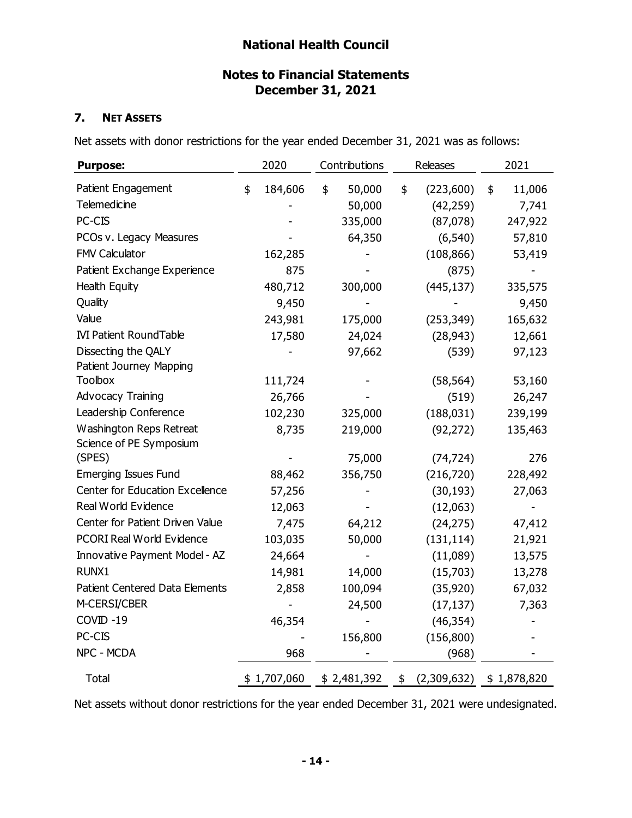# **Notes to Financial Statements December 31, 2021**

#### **7. NET ASSETS**

Net assets with donor restrictions for the year ended December 31, 2021 was as follows:

| <b>Purpose:</b>                  | 2020          | Contributions | Releases          | 2021         |
|----------------------------------|---------------|---------------|-------------------|--------------|
| Patient Engagement               | \$<br>184,606 | \$<br>50,000  | \$<br>(223,600)   | \$<br>11,006 |
| Telemedicine                     |               | 50,000        | (42, 259)         | 7,741        |
| PC-CIS                           |               | 335,000       | (87,078)          | 247,922      |
| PCOs v. Legacy Measures          |               | 64,350        | (6, 540)          | 57,810       |
| FMV Calculator                   | 162,285       |               | (108, 866)        | 53,419       |
| Patient Exchange Experience      | 875           |               | (875)             |              |
| Health Equity                    | 480,712       | 300,000       | (445, 137)        | 335,575      |
| Quality                          | 9,450         |               |                   | 9,450        |
| Value                            | 243,981       | 175,000       | (253, 349)        | 165,632      |
| <b>IVI Patient RoundTable</b>    | 17,580        | 24,024        | (28, 943)         | 12,661       |
| Dissecting the QALY              |               | 97,662        | (539)             | 97,123       |
| Patient Journey Mapping          |               |               |                   |              |
| <b>Toolbox</b>                   | 111,724       |               | (58, 564)         | 53,160       |
| <b>Advocacy Training</b>         | 26,766        |               | (519)             | 26,247       |
| Leadership Conference            | 102,230       | 325,000       | (188, 031)        | 239,199      |
| Washington Reps Retreat          | 8,735         | 219,000       | (92, 272)         | 135,463      |
| Science of PE Symposium          |               |               |                   |              |
| (SPES)                           |               | 75,000        | (74, 724)         | 276          |
| <b>Emerging Issues Fund</b>      | 88,462        | 356,750       | (216, 720)        | 228,492      |
| Center for Education Excellence  | 57,256        |               | (30, 193)         | 27,063       |
| Real World Evidence              | 12,063        |               | (12,063)          |              |
| Center for Patient Driven Value  | 7,475         | 64,212        | (24, 275)         | 47,412       |
| <b>PCORI Real World Evidence</b> | 103,035       | 50,000        | (131, 114)        | 21,921       |
| Innovative Payment Model - AZ    | 24,664        |               | (11,089)          | 13,575       |
| RUNX1                            | 14,981        | 14,000        | (15,703)          | 13,278       |
| Patient Centered Data Elements   | 2,858         | 100,094       | (35, 920)         | 67,032       |
| M-CERSI/CBER                     |               | 24,500        | (17, 137)         | 7,363        |
| COVID-19                         | 46,354        |               | (46, 354)         |              |
| PC-CIS                           |               | 156,800       | (156, 800)        |              |
| NPC - MCDA                       | 968           |               | (968)             |              |
| <b>Total</b>                     | \$1,707,060   | \$2,481,392   | \$<br>(2,309,632) | \$1,878,820  |

Net assets without donor restrictions for the year ended December 31, 2021 were undesignated.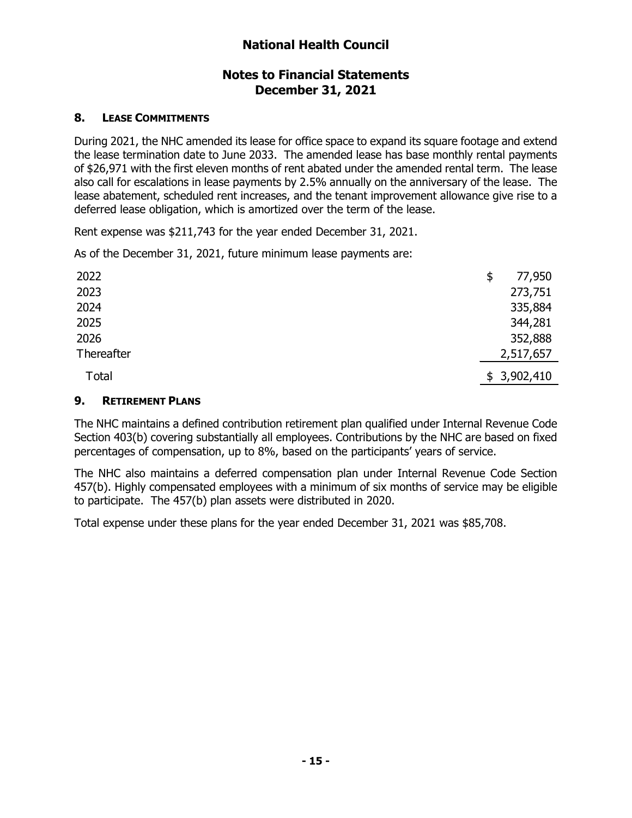# **Notes to Financial Statements December 31, 2021**

#### **8. LEASE COMMITMENTS**

During 2021, the NHC amended its lease for office space to expand its square footage and extend the lease termination date to June 2033. The amended lease has base monthly rental payments of \$26,971 with the first eleven months of rent abated under the amended rental term. The lease also call for escalations in lease payments by 2.5% annually on the anniversary of the lease. The lease abatement, scheduled rent increases, and the tenant improvement allowance give rise to a deferred lease obligation, which is amortized over the term of the lease.

Rent expense was \$211,743 for the year ended December 31, 2021.

As of the December 31, 2021, future minimum lease payments are:

| 2022       | \$<br>77,950 |
|------------|--------------|
| 2023       | 273,751      |
| 2024       | 335,884      |
| 2025       | 344,281      |
| 2026       | 352,888      |
| Thereafter | 2,517,657    |
| Total      | \$3,902,410  |

#### **9. RETIREMENT PLANS**

The NHC maintains a defined contribution retirement plan qualified under Internal Revenue Code Section 403(b) covering substantially all employees. Contributions by the NHC are based on fixed percentages of compensation, up to 8%, based on the participants' years of service.

The NHC also maintains a deferred compensation plan under Internal Revenue Code Section 457(b). Highly compensated employees with a minimum of six months of service may be eligible to participate. The 457(b) plan assets were distributed in 2020.

Total expense under these plans for the year ended December 31, 2021 was \$85,708.